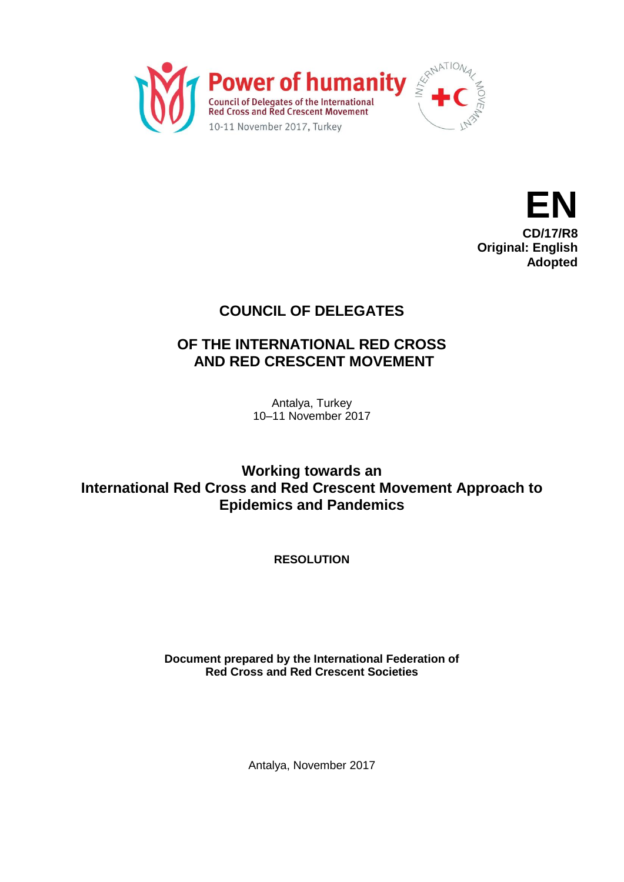



## **COUNCIL OF DELEGATES**

## **OF THE INTERNATIONAL RED CROSS AND RED CRESCENT MOVEMENT**

Antalya, Turkey 10–11 November 2017

**Working towards an International Red Cross and Red Crescent Movement Approach to Epidemics and Pandemics**

**RESOLUTION**

**Document prepared by the International Federation of Red Cross and Red Crescent Societies**

Antalya, November 2017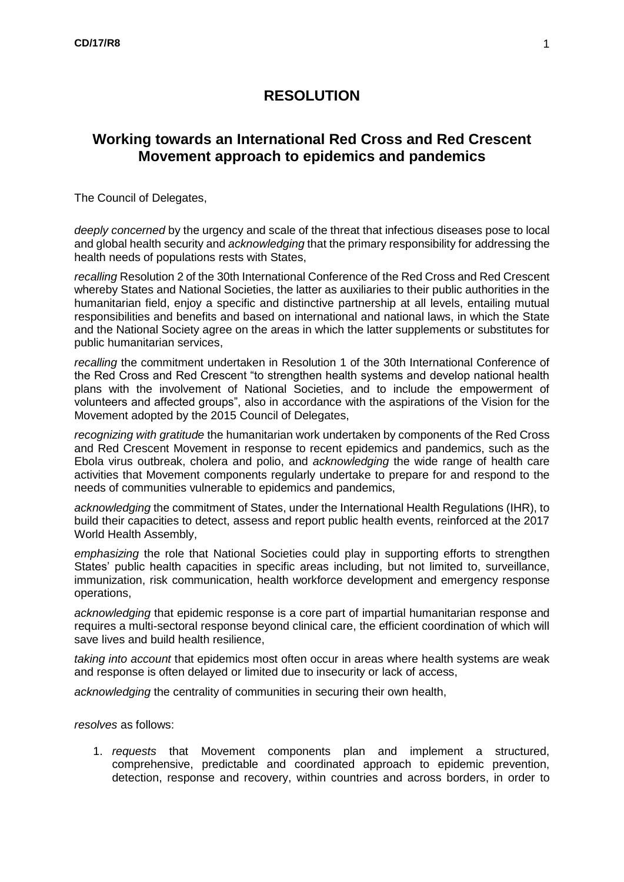## **RESOLUTION**

## **Working towards an International Red Cross and Red Crescent Movement approach to epidemics and pandemics**

The Council of Delegates,

*deeply concerned* by the urgency and scale of the threat that infectious diseases pose to local and global health security and *acknowledging* that the primary responsibility for addressing the health needs of populations rests with States,

*recalling* Resolution 2 of the 30th International Conference of the Red Cross and Red Crescent whereby States and National Societies, the latter as auxiliaries to their public authorities in the humanitarian field, enjoy a specific and distinctive partnership at all levels, entailing mutual responsibilities and benefits and based on international and national laws, in which the State and the National Society agree on the areas in which the latter supplements or substitutes for public humanitarian services,

*recalling* the commitment undertaken in Resolution 1 of the 30th International Conference of the Red Cross and Red Crescent "to strengthen health systems and develop national health plans with the involvement of National Societies, and to include the empowerment of volunteers and affected groups", also in accordance with the aspirations of the Vision for the Movement adopted by the 2015 Council of Delegates,

*recognizing with gratitude* the humanitarian work undertaken by components of the Red Cross and Red Crescent Movement in response to recent epidemics and pandemics, such as the Ebola virus outbreak, cholera and polio, and *acknowledging* the wide range of health care activities that Movement components regularly undertake to prepare for and respond to the needs of communities vulnerable to epidemics and pandemics,

*acknowledging* the commitment of States, under the International Health Regulations (IHR), to build their capacities to detect, assess and report public health events, reinforced at the 2017 World Health Assembly,

*emphasizing* the role that National Societies could play in supporting efforts to strengthen States' public health capacities in specific areas including, but not limited to, surveillance, immunization, risk communication, health workforce development and emergency response operations,

*acknowledging* that epidemic response is a core part of impartial humanitarian response and requires a multi-sectoral response beyond clinical care, the efficient coordination of which will save lives and build health resilience,

*taking into account* that epidemics most often occur in areas where health systems are weak and response is often delayed or limited due to insecurity or lack of access,

*acknowledging* the centrality of communities in securing their own health,

*resolves* as follows:

1. *requests* that Movement components plan and implement a structured, comprehensive, predictable and coordinated approach to epidemic prevention, detection, response and recovery, within countries and across borders, in order to